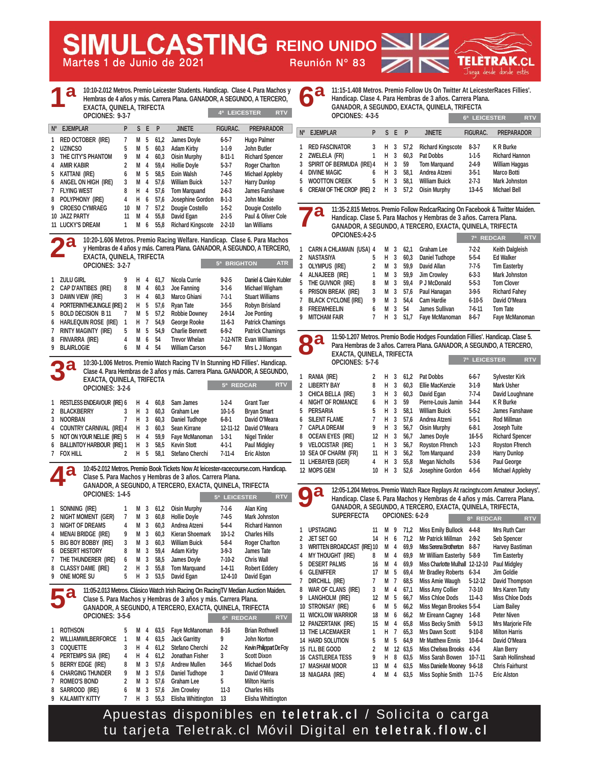**Martes 1 de Junio de 2021 Reunión Nº 83 SIMULCASTING REINO UNIDO** 



| 10:10-2.012 Metros. Premio Leicester Students. Handicap. Clase 4. Para Machos y<br>Hembras de 4 años y más. Carrera Plana. GANADOR, A SEGUNDO, A TERCERO,<br><b>EXACTA, QUINELA, TRIFECTA</b><br>4ª LEICESTER<br>OPCIONES: 9-3-7 | 11:15-1.408 Metros. Premio Follow Us On Twitter At LeicesterRaces Fillies'.<br>Handicap. Clase 4. Para Hembras de 3 años. Carrera Plana.<br>GANADOR, A SEGUNDO, EXACTA, QUINELA, TRIFECTA<br>OPCIONES: 4-3-5<br>6ª LEICESTER<br><b>RTV</b> |  |  |  |  |  |
|----------------------------------------------------------------------------------------------------------------------------------------------------------------------------------------------------------------------------------|--------------------------------------------------------------------------------------------------------------------------------------------------------------------------------------------------------------------------------------------|--|--|--|--|--|
| S E P<br><b>PREPARADOR</b><br>Nº EJEMPLAR<br>P.<br><b>JINETE</b><br><b>FIGURAC.</b>                                                                                                                                              | <b>EJEMPLAR</b><br>S E P<br><b>JINETE</b><br><b>PREPARADOR</b><br>$N^{\circ}$<br>P<br>FIGURAC.                                                                                                                                             |  |  |  |  |  |
| 1 RED OCTOBER (IRE)<br>7<br>M 5<br>61,2<br>James Doyle<br>$6 - 5 - 7$<br>Hugo Palmer                                                                                                                                             |                                                                                                                                                                                                                                            |  |  |  |  |  |
| 2 UZINCSO<br>5<br>M 5<br><b>Adam Kirby</b><br>John Butler<br>60,3<br>$1-1-9$                                                                                                                                                     | 1 RED FASCINATOR<br>57,2<br><b>Richard Kingscote</b><br>$8-3-7$<br>K R Burke<br>3<br>H 3                                                                                                                                                   |  |  |  |  |  |
| THE CITY'S PHANTOM<br>9<br><b>Oisin Murphy</b><br>$8 - 11 - 1$<br>3<br>M 4<br>60,3<br><b>Richard Spencer</b>                                                                                                                     | $\mathbf{1}$<br>3<br>60,3<br>2 ZWELELA (FR)<br>Н<br>Pat Dobbs<br>$1-1-5$<br><b>Richard Hannon</b>                                                                                                                                          |  |  |  |  |  |
| <b>AMIR KABIR</b><br>$5-3-7$<br>2<br>M 4<br>59,4<br><b>Hollie Doyle</b><br><b>Roger Charlton</b><br>4                                                                                                                            | $\overline{\mathbf{3}}$<br><b>Tom Marquand</b><br>$2 - 4 - 9$<br>3 SPIRIT OF BERMUDA (IRE) 4<br>H<br>59<br><b>William Haggas</b>                                                                                                           |  |  |  |  |  |
| Eoin Walsh<br>Kattani (IRE)<br>6<br>M<br>5<br>58,5<br>$7-4-5$<br><b>Michael Appleby</b><br>5                                                                                                                                     | $\overline{3}$<br>$3 - 5 - 1$<br>$\overline{4}$<br><b>DIVINE MAGIC</b><br>6<br>H<br>58,1<br>Andrea Atzeni<br>Marco Botti                                                                                                                   |  |  |  |  |  |
| <b>William Buick</b><br>$1-2-7$<br>ANGEL ON HIGH (IRE)<br>3<br>M 4<br>57,6<br><b>Harry Dunlop</b><br>6                                                                                                                           | 5<br>H <sub>3</sub><br>58,1<br>$2 - 7 - 3$<br>5 WOOTTON CREEK<br><b>William Buick</b><br><b>Mark Johnston</b>                                                                                                                              |  |  |  |  |  |
| $\overline{7}$<br><b>FLYING WEST</b><br>8<br>Н.<br>4<br>57,6<br><b>Tom Marquand</b><br>$2 - 6 - 3$<br>James Fanshawe                                                                                                             | CREAM OF THE CROP (IRE) 2<br>H 3 57,2<br>$13 - 4 - 5$<br><b>Oisin Murphy</b><br><b>Michael Bell</b><br>6                                                                                                                                   |  |  |  |  |  |
| 8 POLYPHONY (IRE)<br>H 6<br>57,6<br>Josephine Gordon<br>$8 - 1 - 3$<br>John Mackie<br>4                                                                                                                                          |                                                                                                                                                                                                                                            |  |  |  |  |  |
| Dougie Costello<br>9<br><b>CROESO CYMRAEG</b><br>10<br>$\overline{7}$<br>57,2<br>$1-5-2$<br>Dougie Costello<br>M<br>David Egan<br>10 JAZZ PARTY<br>11<br>55,8<br>$2 - 1 - 5$<br>Paul & Oliver Cole<br>M 4                        | 11:35-2.815 Metros. Premio Follow RedcarRacing On Facebook & Twitter Maiden.<br>C.                                                                                                                                                         |  |  |  |  |  |
| M 6<br><b>Richard Kingscote</b><br>lan Williams<br><b>11 LUCKY'S DREAM</b><br>$\mathbf{1}$<br>55,8<br>$2 - 2 - 10$                                                                                                               | Handicap. Clase 5. Para Machos y Hembras de 3 años. Carrera Plana.<br>GANADOR, A SEGUNDO, A TERCERO, EXACTA, QUINELA, TRIFECTA                                                                                                             |  |  |  |  |  |
|                                                                                                                                                                                                                                  | OPCIONES:4-2-5                                                                                                                                                                                                                             |  |  |  |  |  |
| 10:20-1.606 Metros. Premio Racing Welfare. Handicap. Clase 6. Para Machos                                                                                                                                                        | 7ª REDCAR<br><b>RTV</b>                                                                                                                                                                                                                    |  |  |  |  |  |
| y Hembras de 4 años y más. Carrera Plana. GANADOR, A SEGUNDO, A TERCERO,                                                                                                                                                         | $7 - 2 - 2$<br>Keith Dalgleish<br>$\mathbf{1}$<br><b>CARN A CHLAMAIN (USA) 4</b><br><b>Graham Lee</b><br>M 3<br>62,1                                                                                                                       |  |  |  |  |  |
| EXACTA, QUINELA, TRIFECTA<br>5 <sup>a</sup> BRIGHTON                                                                                                                                                                             | H <sub>3</sub><br>$5-5-4$<br><b>Ed Walker</b><br>$\mathbf{2}$<br>NASTASIYA<br>5<br>60,3<br>Daniel Tudhope<br><b>ATR</b>                                                                                                                    |  |  |  |  |  |
| OPCIONES: 3-2-7                                                                                                                                                                                                                  | 3<br><b>OLYMPUS (IRE)</b><br>2<br>M <sub>3</sub><br>59,9<br>David Allan<br>$7 - 7 - 5$<br><b>Tim Easterby</b>                                                                                                                              |  |  |  |  |  |
| Daniel & Claire Kubler<br>1 ZULU GIRL<br>H 4<br>61,7<br>Nicola Currie<br>$9 - 2 - 5$<br>9                                                                                                                                        | 4 ALNAJEEB (IRE)<br>1<br>M 3<br>59,9<br><b>Jim Crowley</b><br>$6 - 3 - 3$<br><b>Mark Johnston</b><br>5                                                                                                                                     |  |  |  |  |  |
| 2 CAP D'ANTIBES (IRE)<br>8<br>M 4<br>60,3<br>Joe Fanning<br>$3-1-6$<br>Michael Wigham                                                                                                                                            | THE GUVNOR (IRE)<br>M <sub>3</sub><br>8<br>59,4<br>P J McDonald<br>$5-5-3$<br><b>Tom Clover</b><br>M <sub>3</sub><br>$3-9-5$<br>6 PRISON BREAK (IRE)<br>3<br>57,6<br>Paul Hanagan<br><b>Richard Fahey</b>                                  |  |  |  |  |  |
| Marco Ghiani<br>Dawn View (IRE)<br>3<br>H.<br>4<br>60,3<br>$7-1-1$<br><b>Stuart Williams</b><br>3                                                                                                                                | $\overline{3}$<br>9<br>$6 - 10 - 5$<br>David O'Meara<br><b>BLACK CYCLONE (IRE)</b><br>M<br>54,4<br>Cam Hardie<br>7                                                                                                                         |  |  |  |  |  |
| H 5<br>Ryan Tate<br>$3 - 5 - 5$<br>PORTERINTHEJUNGLE (IRE) 2<br>57,6<br><b>Robyn Brisland</b><br>4                                                                                                                               | <b>FREEWHEELIN</b><br>6<br>3<br>$7 - 6 - 11$<br>Tom Tate<br>8<br>М<br>54<br>James Sullivan                                                                                                                                                 |  |  |  |  |  |
| <b>BOLD DECISION B 11</b><br>M 5<br>57,2<br><b>Robbie Downey</b><br>$2 - 9 - 14$<br><b>Joe Ponting</b><br>5<br>7                                                                                                                 | 9 MITCHAM FAIR<br>H 3 51.7<br>$8-6-7$<br>$\overline{7}$<br>Faye McManoman<br>Faye McManoman                                                                                                                                                |  |  |  |  |  |
| HARLEQUIN ROSE (IRE) 1<br>H 7<br>54,9<br>George Rooke<br>$11-6-3$<br><b>Patrick Chamings</b><br>6                                                                                                                                |                                                                                                                                                                                                                                            |  |  |  |  |  |
| 5<br>7<br><b>RINTY MAGINTY (IRE)</b><br>M 5<br>54,9<br><b>Charlie Bennett</b><br>$6 - 9 - 2$<br><b>Patrick Chamings</b><br>FINVARRA (IRE)<br>4<br>M 6<br><b>Trevor Whelan</b><br>7-12-NTR Evan Williams<br>8<br>54               | 11:50-1.207 Metros. Premio Bodie Hodges Foundation Fillies'. Handicap. Clase 5.                                                                                                                                                            |  |  |  |  |  |
| <b>BLAIRLOGIE</b><br>6<br>$M$ 4<br>$5 - 6 - 7$<br>9<br>54<br><b>William Carson</b><br>Mrs L J Mongan                                                                                                                             | a<br>$\bullet$<br>Para Hembras de 3 años. Carrera Plana. GANADOR, A SEGUNDO, A TERCERO,<br>$\bullet$                                                                                                                                       |  |  |  |  |  |
|                                                                                                                                                                                                                                  | EXACTA, QUINELA, TRIFECTA                                                                                                                                                                                                                  |  |  |  |  |  |
| 10:30-1.006 Metros. Premio Watch Racing TV In Stunning HD Fillies'. Handicap.                                                                                                                                                    | 7ª LEICESTER<br><b>RTV</b><br>OPCIONES: 5-7-6                                                                                                                                                                                              |  |  |  |  |  |
| Clase 4. Para Hembras de 3 años y más. Carrera Plana. GANADOR, A SEGUNDO,                                                                                                                                                        | 1 RANIA (IRE)<br><b>Pat Dobbs</b><br>$6 - 6 - 7$<br>2<br>H 3<br>61,2<br><b>Sylvester Kirk</b>                                                                                                                                              |  |  |  |  |  |
| <b>EXACTA, QUINELA, TRIFECTA</b><br>5ª REDCAR                                                                                                                                                                                    | <b>RTV</b><br>2 LIBERTY BAY<br>8<br>H <sub>3</sub><br>Ellie MacKenzie<br>$3-1-9$<br><b>Mark Usher</b><br>60,3                                                                                                                              |  |  |  |  |  |
| OPCIONES: 3-2-6                                                                                                                                                                                                                  | 3<br>3<br>3<br>CHICA BELLA (IRE)<br>H<br>60,3<br>David Egan<br>$7 - 7 - 4$<br>David Loughnane                                                                                                                                              |  |  |  |  |  |
| <b>RESTLESS ENDEAVOUR (IRE) 6</b><br>Sam James<br>$1-2-4$<br><b>Grant Tuer</b><br>H.<br>60,8<br>-4                                                                                                                               | H <sub>3</sub><br>59<br>K R Burke<br><b>NIGHT OF ROMANCE</b><br>6<br>Pierre-Louis Jamin<br>$3-4-4$<br>4                                                                                                                                    |  |  |  |  |  |
| <b>BLACKBERRY</b><br><b>Graham Lee</b><br>$10-1-5$<br>2<br>3<br>H<br>3<br>60,3<br><b>Bryan Smart</b>                                                                                                                             | PERSARIA<br>5<br>3<br>58,1<br>$5 - 5 - 2$<br>5<br>H<br><b>William Buick</b><br>James Fanshawe                                                                                                                                              |  |  |  |  |  |
| <b>NOORBAN</b><br>$\overline{1}$<br>Daniel Tudhope<br>$6 - 8 - 1$<br>3<br>H 3<br>60,3<br>David O'Meara                                                                                                                           | 7<br><b>6 SILENT FLAME</b><br>H 3<br>57,6<br>Andrea Atzeni<br>$5-5-1$<br><b>Rod Millman</b>                                                                                                                                                |  |  |  |  |  |
| <b>COUNTRY CARNIVAL (IRE) 4</b><br>H 3<br>60,3<br>Sean Kirrane<br>12-11-12<br>David O'Meara<br>4                                                                                                                                 | 3<br>7 CAPLA DREAM<br>9<br>н<br>56,7<br><b>Oisin Murphy</b><br>$6 - 8 - 1$<br>Joseph Tuite                                                                                                                                                 |  |  |  |  |  |
| Faye McManoman<br>5<br>NOT ON YOUR NELLIE (IRE) 5<br>H 4<br>59,9<br>$1-3-1$<br><b>Nigel Tinkler</b>                                                                                                                              | 8 OCEAN EYES (IRE)<br>H 3<br>56,7<br>James Doyle<br>$16 - 5 - 5$<br><b>Richard Spencer</b><br>12                                                                                                                                           |  |  |  |  |  |
| H <sub>3</sub><br><b>Kevin Stott</b><br>6<br><b>BALLINTOY HARBOUR (IRE) 1</b><br>58,5<br>$4 - 1 - 1$<br>Paul Midgley<br>7 FOX HILL<br>$\overline{2}$<br>Stefano Cherchi<br>$7 - 11 - 4$                                          | 3<br>9 VELOCISTAR (IRE)<br>$\mathbf{1}$<br>Н<br>56,7<br><b>Royston Ffrench</b><br>$1-2-3$<br><b>Royston Ffrench</b><br>10 SEA OF CHARM (FR)<br>11<br>H 3<br>56,2<br><b>Tom Marquand</b><br>$2-3-9$<br><b>Harry Dunlop</b>                  |  |  |  |  |  |
| H 5<br>58,1<br><b>Eric Alston</b>                                                                                                                                                                                                | $\overline{3}$<br><b>Megan Nicholls</b><br>$5-3-6$<br>Paul George<br>11 LHEBAYEB (GER)<br>4<br>H<br>55,8                                                                                                                                   |  |  |  |  |  |
| 10:45-2.012 Metros. Premio Book Tickets Now At leicester-racecourse.com. Handicap.                                                                                                                                               | Josephine Gordon<br><b>Michael Appleby</b><br>12 MOPS GEM<br>$10$ H $3$<br>52,6<br>$4 - 5 - 6$                                                                                                                                             |  |  |  |  |  |
| Clase 5. Para Machos y Hembras de 3 años. Carrera Plana.                                                                                                                                                                         |                                                                                                                                                                                                                                            |  |  |  |  |  |
| GANADOR, A SEGUNDO, A TERCERO, EXACTA, QUINELA, TRIFECTA                                                                                                                                                                         | 12:05-1.204 Metros. Premio Watch Race Replays At racingty.com Amateur Jockeys'.                                                                                                                                                            |  |  |  |  |  |
| OPCIONES: 1-4-5<br>5ª LEICESTER                                                                                                                                                                                                  | $\bullet$ d<br><b>RTV</b><br>Handicap. Clase 6. Para Machos y Hembras de 4 años y más. Carrera Plana.                                                                                                                                      |  |  |  |  |  |
| 1 SONNING (IRE)<br>M 3 61,2 Oisin Murphy<br>Alan King<br>$\mathbf{1}$<br>$7-1-6$                                                                                                                                                 | GANADOR, A SEGUNDO, A TERCERO, EXACTA, QUINELA, TRIFECTA,                                                                                                                                                                                  |  |  |  |  |  |
| NIGHT MOMENT (GER)<br>2<br>7<br>M<br>3<br>60,8<br><b>Hollie Doyle</b><br>$1 - 4 - 5$<br><b>Mark Johnston</b>                                                                                                                     | SUPERFECTA OPCIONES: 6-2-9<br>8ª REDCAR<br><b>RTV</b>                                                                                                                                                                                      |  |  |  |  |  |
| M <sub>3</sub><br><b>NIGHT OF DREAMS</b><br>4<br>Andrea Atzeni<br>$5-4-4$<br><b>Richard Hannon</b><br>3<br>60,3                                                                                                                  |                                                                                                                                                                                                                                            |  |  |  |  |  |
| <b>MENAI BRIDGE (IRE)</b><br>9<br>M <sub>3</sub><br>60,3<br>Kieran Shoemark<br>$10-1-2$<br><b>Charles Hills</b><br>4                                                                                                             | 1 UPSTAGING<br>Miss Emily Bullock 4-4-8<br>Mrs Ruth Carr<br>11 M 9 71,2<br>JET SET GO<br>71,2<br>Mr Patrick Millman<br>$2 - 9 - 2$<br>Seb Spencer<br>2<br>14<br>H<br>6                                                                     |  |  |  |  |  |
| BIG BOY BOBBY (IRE)<br>3<br>M 3<br>60,3<br><b>William Buick</b><br>$5 - 8 - 4$<br>5<br><b>Roger Charlton</b>                                                                                                                     | WRITTEN BROADCAST (IRE) 10<br>M 4<br>69,9<br>Miss Serena Brotherton 8-8-7<br>Harvey Bastiman<br>3                                                                                                                                          |  |  |  |  |  |
| <b>DESERT HISTORY</b><br>8<br>M <sub>3</sub><br>59,4<br><b>Adam Kirby</b><br>$3-9-3$<br>James Tate<br>6                                                                                                                          | MY THOUGHT (IRE)<br>8<br>M 4<br>69,9<br>Mr William Easterby 5-8-9<br><b>Tim Easterby</b><br>4                                                                                                                                              |  |  |  |  |  |
| M <sub>3</sub><br>THE THUNDERER (IRE)<br>6<br>58,5<br>James Doyle<br>$7-10-2$<br><b>Chris Wall</b><br>7                                                                                                                          | <b>DESERT PALMS</b><br>M 4<br>Miss Charlotte Mulhall 12-12-10<br><b>Paul Midgley</b><br>16<br>69,9<br>5                                                                                                                                    |  |  |  |  |  |
| 2<br>CLASSY DAME (IRE)<br>H <sub>3</sub><br><b>Tom Marquand</b><br>$1 - 4 - 11$<br>8<br>55,8<br><b>Robert Eddery</b><br>9 ONE MORE SU<br>5<br>H 3 53,5<br>David Egan<br>12-4-10<br>David Egan                                    | M 5<br>Jim Goldie<br><b>GLENIFFER</b><br>17<br>69,4<br>Mr Bradley Roberts 6-3-4<br>6                                                                                                                                                       |  |  |  |  |  |
|                                                                                                                                                                                                                                  | DIRCHILL (IRE)<br><b>David Thompson</b><br>7<br>7<br>M 7<br>68,5<br>Miss Amie Waugh<br>$5-12-12$                                                                                                                                           |  |  |  |  |  |
| 11:05-2.013 Metros. Clásico Watch Irish Racing On RacingTV Median Auction Maiden.                                                                                                                                                | 4<br>67,1<br><b>Miss Amy Collier</b><br>$7-3-10$<br>8<br>WAR OF CLANS (IRE)<br>3<br>M<br>Mrs Karen Tutty                                                                                                                                   |  |  |  |  |  |
| Clase 5. Para Machos y Hembras de 3 años y más. Carrera Plana.                                                                                                                                                                   | 9 LANGHOLM (IRE)<br>12<br>M 5<br>66,7<br><b>Miss Chloe Dods</b><br>$11-4-3$<br><b>Miss Chloe Dods</b>                                                                                                                                      |  |  |  |  |  |
| GANADOR, A SEGUNDO, A TERCERO, EXACTA, QUINELA, TRIFECTA                                                                                                                                                                         | 5<br>10 STRONSAY (IRE)<br>M<br>Miss Megan Brookes 5-5-4<br>Liam Bailey<br>66,2<br>6                                                                                                                                                        |  |  |  |  |  |
| OPCIONES: 3-5-6<br>6ª REDCAR                                                                                                                                                                                                     | M 6<br>Mr Eireann Cagney 1-6-8<br><b>Peter Niven</b><br>11 WICKLOW WARRIOR<br>18<br>66,2<br><b>RTV</b><br>12 PANZERTANK (IRE)<br>M 4<br>65,8<br><b>Miss Becky Smith</b><br>$5 - 9 - 13$<br><b>Mrs Marjorie Fife</b><br>15                  |  |  |  |  |  |
| <b>ROTHSON</b><br>Faye McManoman<br>$8-16$<br><b>Brian Rothwell</b><br>1<br>63,5<br>5<br>M 4                                                                                                                                     | $\overline{1}$<br>Mrs Dawn Scott<br>$9-10-8$<br><b>Milton Harris</b><br>13 THE LACEMAKER<br>Н.<br>65,3<br>1                                                                                                                                |  |  |  |  |  |
| <b>Jack Garritty</b><br>9<br>$\mathbf{2}$<br><b>WILLIAMWILBERFORCE</b><br>1<br>M 4<br>63,5<br>John Norton                                                                                                                        | 14 HARD SOLUTION<br>5<br>M 5 64,9<br><b>Mr Matthew Ennis</b><br>$10-6-4$<br>David O'Meara                                                                                                                                                  |  |  |  |  |  |
| 3<br>3<br><b>COQUETTE</b><br>H 4<br>61,2<br>Stefano Cherchi<br>$2 - 2$<br>Kevin Philippart De Foy                                                                                                                                | 15 I'LL BE GOOD<br>Miss Chelsea Brooks 4-3-6<br>Alan Berry<br>2<br>M 12 63,5                                                                                                                                                               |  |  |  |  |  |
| PERTEMPS SIA (IRE)<br>$H$ 4<br>61,2<br>Jonathan Fisher<br>3<br>4<br><b>Scott Dixon</b><br>4                                                                                                                                      | H 8 63,5<br>Miss Sarah Bowen<br>$10 - 7 - 11$<br>Sarah Hollinshead<br><b>16 CASTLEREA TESS</b><br>9                                                                                                                                        |  |  |  |  |  |
| BERRY EDGE (IRE)<br>8<br>M 3<br>57,6<br><b>Andrew Mullen</b><br>$3-6-5$<br>5<br><b>Michael Dods</b>                                                                                                                              | 17 MASHAM MOOR<br>Miss Danielle Mooney 9-6-18<br><b>Chris Fairhurst</b><br>13<br>M 4<br>63,5                                                                                                                                               |  |  |  |  |  |
| <b>CHARGING THUNDER</b><br>9<br>M 3<br>57,6<br>Daniel Tudhope<br>3<br>David O'Meara<br>6                                                                                                                                         | 18 NIAGARA (IRE)<br>M 4<br>Miss Sophie Smith 11-7-5<br><b>Eric Alston</b><br>4<br>63,5                                                                                                                                                     |  |  |  |  |  |
| M <sub>3</sub><br><b>ROMEO'S BOND</b><br>2<br>57,6<br><b>Graham Lee</b><br>5<br>7<br><b>Milton Harris</b><br>Sarrood (IRE)<br>6<br>M 3<br>57,6<br><b>Jim Crowley</b><br>$11-3$<br>8<br><b>Charles Hills</b>                      |                                                                                                                                                                                                                                            |  |  |  |  |  |
| 9 KALAMITY KITTY<br>$\mathbf{7}$<br>H 3 55,3 Elisha Whittington<br>-13<br>Elisha Whittington                                                                                                                                     |                                                                                                                                                                                                                                            |  |  |  |  |  |

Apuestas disponibles en **teletrak.cl** / Solicita o carga tu tarjeta Teletrak.cl Móvil Digital en **teletrak.flow.cl**